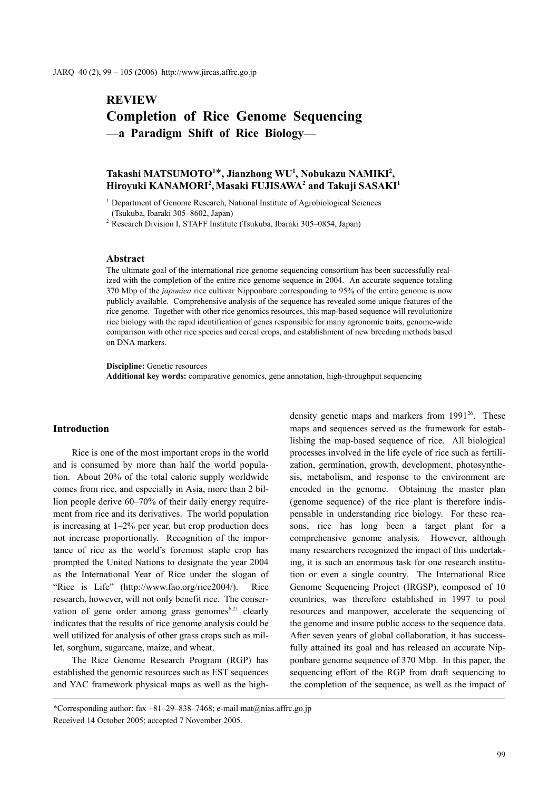# **REVIEW Completion of Rice Genome Sequencing —a Paradigm Shift of Rice Biology—**

# $\text{Take } \mathbf{M} \leq \mathbf{M} \leq \mathbf{M}$  and  $\mathbf{M} \leq \mathbf{M}$   $\mathbf{M}$   $\mathbf{M} \leq \mathbf{M}$  $\rm H$ iroyuki KANAMORI<sup>2</sup>, $\rm M$ asaki FUJISAWA $^2$  and Takuji SASAKI $^1$

<sup>1</sup> Department of Genome Research, National Institute of Agrobiological Sciences (Tsukuba, Ibaraki 305–8602, Japan)

<sup>2</sup> Research Division I, STAFF Institute (Tsukuba, Ibaraki 305–0854, Japan)

#### **Abstract**

The ultimate goal of the international rice genome sequencing consortium has been successfully realized with the completion of the entire rice genome sequence in 2004. An accurate sequence totaling 370 Mbp of the *japonica* rice cultivar Nipponbare corresponding to 95% of the entire genome is now publicly available. Comprehensive analysis of the sequence has revealed some unique features of the rice genome. Together with other rice genomics resources, this map-based sequence will revolutionize rice biology with the rapid identification of genes responsible for many agronomic traits, genome-wide comparison with other rice species and cereal crops, and establishment of new breeding methods based on DNA markers.

**Discipline:** Genetic resources **Additional key words:** comparative genomics, gene annotation, high-throughput sequencing

### **Introduction**

Rice is one of the most important crops in the world and is consumed by more than half the world population. About 20% of the total calorie supply worldwide comes from rice, and especially in Asia, more than 2 billion people derive 60–70% of their daily energy requirement from rice and its derivatives. The world population is increasing at 1–2% per year, but crop production does not increase proportionally. Recognition of the importance of rice as the world's foremost staple crop has prompted the United Nations to designate the year 2004 as the International Year of Rice under the slogan of "Rice is Life" (http://www.fao.org/rice2004/). Rice research, however, will not only benefit rice. The conservation of gene order among grass genomes<sup> $6,21$ </sup> clearly indicates that the results of rice genome analysis could be well utilized for analysis of other grass crops such as millet, sorghum, sugarcane, maize, and wheat.

The Rice Genome Research Program (RGP) has established the genomic resources such as EST sequences and YAC framework physical maps as well as the highdensity genetic maps and markers from  $1991^{26}$ . These maps and sequences served as the framework for establishing the map-based sequence of rice. All biological processes involved in the life cycle of rice such as fertilization, germination, growth, development, photosynthesis, metabolism, and response to the environment are encoded in the genome. Obtaining the master plan (genome sequence) of the rice plant is therefore indispensable in understanding rice biology. For these reasons, rice has long been a target plant for a comprehensive genome analysis. However, although many researchers recognized the impact of this undertaking, it is such an enormous task for one research institution or even a single country. The International Rice Genome Sequencing Project (IRGSP), composed of 10 countries, was therefore established in 1997 to pool resources and manpower, accelerate the sequencing of the genome and insure public access to the sequence data. After seven years of global collaboration, it has successfully attained its goal and has released an accurate Nipponbare genome sequence of 370 Mbp. In this paper, the sequencing effort of the RGP from draft sequencing to the completion of the sequence, as well as the impact of

<sup>\*</sup>Corresponding author: fax +81–29–838–7468; e-mail mat@nias.affrc.go.jp Received 14 October 2005; accepted 7 November 2005.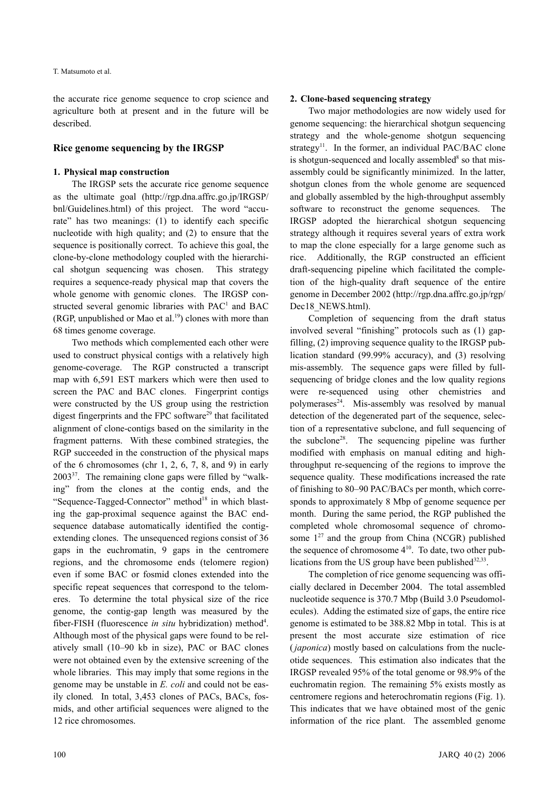the accurate rice genome sequence to crop science and agriculture both at present and in the future will be described.

#### **Rice genome sequencing by the IRGSP**

#### **1. Physical map construction**

The IRGSP sets the accurate rice genome sequence as the ultimate goal (http://rgp.dna.affrc.go.jp/IRGSP/ bnl/Guidelines.html) of this project. The word "accurate" has two meanings: (1) to identify each specific nucleotide with high quality; and (2) to ensure that the sequence is positionally correct. To achieve this goal, the clone-by-clone methodology coupled with the hierarchical shotgun sequencing was chosen. This strategy requires a sequence-ready physical map that covers the whole genome with genomic clones. The IRGSP constructed several genomic libraries with  $PAC<sup>1</sup>$  and BAC (RGP, unpublished or Mao et al.<sup>19</sup>) clones with more than 68 times genome coverage.

Two methods which complemented each other were used to construct physical contigs with a relatively high genome-coverage. The RGP constructed a transcript map with 6,591 EST markers which were then used to screen the PAC and BAC clones. Fingerprint contigs were constructed by the US group using the restriction digest fingerprints and the FPC software $^{29}$  that facilitated alignment of clone-contigs based on the similarity in the fragment patterns. With these combined strategies, the RGP succeeded in the construction of the physical maps of the 6 chromosomes (chr 1, 2, 6, 7, 8, and 9) in early  $2003^{37}$ . The remaining clone gaps were filled by "walking" from the clones at the contig ends, and the "Sequence-Tagged-Connector" method<sup>18</sup> in which blasting the gap-proximal sequence against the BAC endsequence database automatically identified the contigextending clones. The unsequenced regions consist of 36 gaps in the euchromatin, 9 gaps in the centromere regions, and the chromosome ends (telomere region) even if some BAC or fosmid clones extended into the specific repeat sequences that correspond to the telomeres. To determine the total physical size of the rice genome, the contig-gap length was measured by the fiber-FISH (fluorescence *in situ* hybridization) method<sup>4</sup>. Although most of the physical gaps were found to be relatively small (10–90 kb in size), PAC or BAC clones were not obtained even by the extensive screening of the whole libraries. This may imply that some regions in the genome may be unstable in *E. coli* and could not be easily cloned*.* In total, 3,453 clones of PACs, BACs, fosmids, and other artificial sequences were aligned to the 12 rice chromosomes.

# **2. Clone-based sequencing strategy**

Two major methodologies are now widely used for genome sequencing: the hierarchical shotgun sequencing strategy and the whole-genome shotgun sequencing strategy<sup>11</sup>. In the former, an individual PAC/BAC clone is shotgun-sequenced and locally assembled<sup>8</sup> so that misassembly could be significantly minimized. In the latter, shotgun clones from the whole genome are sequenced and globally assembled by the high-throughput assembly software to reconstruct the genome sequences. The IRGSP adopted the hierarchical shotgun sequencing strategy although it requires several years of extra work to map the clone especially for a large genome such as rice. Additionally, the RGP constructed an efficient draft-sequencing pipeline which facilitated the completion of the high-quality draft sequence of the entire genome in December 2002 (http://rgp.dna.affrc.go.jp/rgp/ Dec18 NEWS.html).

Completion of sequencing from the draft status involved several "finishing" protocols such as (1) gapfilling, (2) improving sequence quality to the IRGSP publication standard (99.99% accuracy), and (3) resolving mis-assembly. The sequence gaps were filled by fullsequencing of bridge clones and the low quality regions were re-sequenced using other chemistries and polymerases $^{24}$ . Mis-assembly was resolved by manual detection of the degenerated part of the sequence, selection of a representative subclone, and full sequencing of the subclone<sup>28</sup>. The sequencing pipeline was further modified with emphasis on manual editing and highthroughput re-sequencing of the regions to improve the sequence quality. These modifications increased the rate of finishing to 80–90 PAC/BACs per month, which corresponds to approximately 8 Mbp of genome sequence per month. During the same period, the RGP published the completed whole chromosomal sequence of chromosome  $1^{27}$  and the group from China (NCGR) published the sequence of chromosome  $4^{10}$ . To date, two other publications from the US group have been published  $32,33$ .

The completion of rice genome sequencing was officially declared in December 2004. The total assembled nucleotide sequence is 370.7 Mbp (Build 3.0 Pseudomolecules). Adding the estimated size of gaps, the entire rice genome is estimated to be 388.82 Mbp in total. This is at present the most accurate size estimation of rice ( *japonica*) mostly based on calculations from the nucleotide sequences. This estimation also indicates that the IRGSP revealed 95% of the total genome or 98.9% of the euchromatin region. The remaining 5% exists mostly as centromere regions and heterochromatin regions (Fig. 1). This indicates that we have obtained most of the genic information of the rice plant. The assembled genome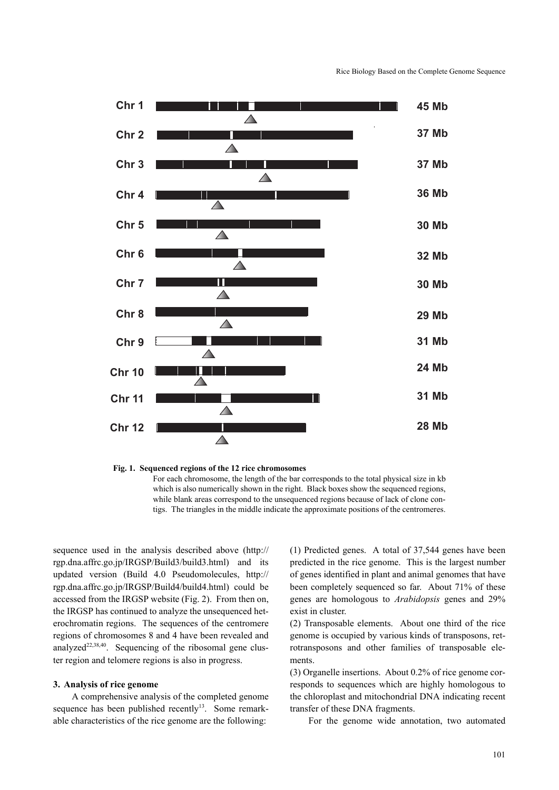

**Fig. 1. Sequenced regions of the 12 rice chromosomes**  For each chromosome, the length of the bar corresponds to the total physical size in kb which is also numerically shown in the right. Black boxes show the sequenced regions, while blank areas correspond to the unsequenced regions because of lack of clone contigs. The triangles in the middle indicate the approximate positions of the centromeres.

sequence used in the analysis described above (http:// rgp.dna.affrc.go.jp/IRGSP/Build3/build3.html) and its updated version (Build 4.0 Pseudomolecules, http:// rgp.dna.affrc.go.jp/IRGSP/Build4/build4.html) could be accessed from the IRGSP website (Fig. 2). From then on, the IRGSP has continued to analyze the unsequenced heterochromatin regions. The sequences of the centromere regions of chromosomes 8 and 4 have been revealed and analyzed<sup>22,38,40</sup>. Sequencing of the ribosomal gene cluster region and telomere regions is also in progress.

#### **3. Analysis of rice genome**

A comprehensive analysis of the completed genome sequence has been published recently<sup>13</sup>. Some remarkable characteristics of the rice genome are the following:

(1) Predicted genes. A total of 37,544 genes have been predicted in the rice genome. This is the largest number of genes identified in plant and animal genomes that have been completely sequenced so far. About 71% of these genes are homologous to *Arabidopsis* genes and 29% exist in cluster.

(2) Transposable elements. About one third of the rice genome is occupied by various kinds of transposons, retrotransposons and other families of transposable elements.

(3) Organelle insertions. About 0.2% of rice genome corresponds to sequences which are highly homologous to the chloroplast and mitochondrial DNA indicating recent transfer of these DNA fragments.

For the genome wide annotation, two automated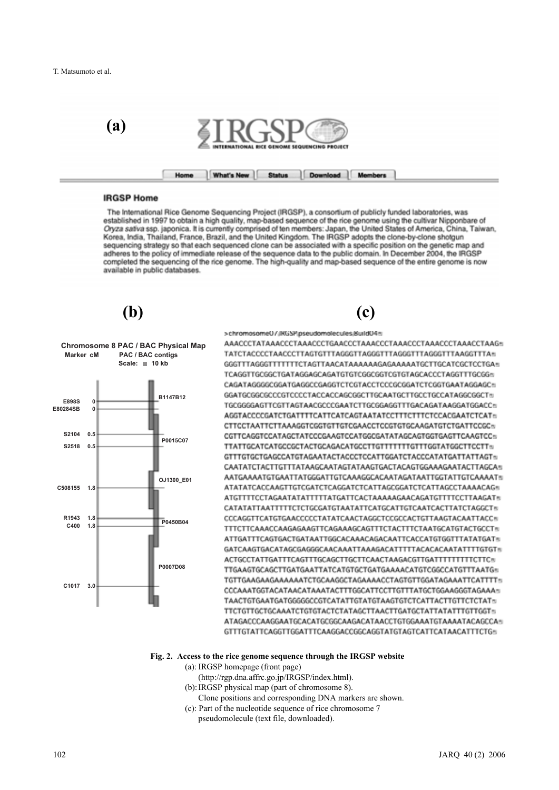

#### **IRGSP Home**

The International Rice Genome Sequencing Project (IRGSP), a consortium of publicly funded laboratories, was established in 1997 to obtain a high quality, map-based sequence of the rice genome using the cultivar Nipponbare of Oryza sativa ssp. japonica. It is currently comprised of ten members: Japan, the United States of America, China, Taiwan, Korea, India, Thailand, France, Brazil, and the United Kingdom. The IRGSP adopts the clone-by-clone shotgun sequencing strategy so that each sequenced clone can be associated with a specific position on the genetic map and adheres to the policy of immediate release of the sequence data to the public domain. In December 2004, the IRGSP completed the sequencing of the rice genome. The high-quality and map-based sequence of the entire genome is now available in public databases.

**(b) (c)**



>chromosome0/JRGSP.pseudomolecules.8uild046

AAACCCTATAAACCCTAAACCCTGAACCCTAAACCCTAAACCCTAAACCCTAAACCTAAG= TATCTACCCCTAACCCTTAGTGTTTAGGGTTAGGGTTTAGGGTTTAGGGTTTAAGGTTTA= GGGTTTAGGGTTTTTTTCTAGTTAACATAAAAAAGAGAAAAATGCTTGCATCGCTCCTGAs TCAGGTTGCGGCTGATAGGAGCAGATGTGTCGGCGGTCGTGTAGCACCCTAGGTTTGCGGn CAGATAGGGGCGGATGAGGCCGAGGTCTCGTACCTCCCGCGGATCTCGGTGAATAGGAGC TGCGGGGAGTTCGTTAGTAACGCCCGAATCTTGCGGAGGTTTGACAGATAAGGATGGACCn CTTCCTAATTCTTAAAGGTCGGTGTTGTCGAACCTCCGTGTGCAAGATGTCTGATTCCGCs CGTTCAGGTCCATAGCTATCCCGAAGTCCATGGCGATATAGCAGTGGTGAGTTCAAGTCCs GTTTGTGCTGAGCCATGTAGAATACTACCCTCCATTGGATCTACCCATATGATTATTAGTs CAATATCTACTTGTTTATAAGCAATAGTATAAGTGACTACAGTGGAAAGAATACTTAGCA AATGAAAATGTGAATTATGGGATTGTCAAAGGCACAATAGATAATTGGTATTGTCAAAATs ATATATCACCAAGTTGTCGATCTCAGGATCTCATTAGCGGATCTCATTAGCCTAAAACAGs ATGTTTTCCTAGAATATATTTTTATGATTCACTAAAAAGAACAGATGTTTTCCTTAAGAT® CATATATTAATTTTTCTCTGCGATGTAATATTCATGCATTGTCAATCACTTATCTAGGCT® CCCAGGTTCATGTGAACCCCCTATATCAACTAGGCTCCGCCACTGTTAAGTACAATTACCs TTTCTTCAAACCAAGAGAAGTTCAGAAAGCAGTTTCTACTTTCTAATGCATGTACTGCCTs ATTGATTTCAGTGACTGATAATTGGCACAAACAGACAATTCACCATGTGGTTTATATGATs GATCAAGTGACATAGCGAGGGCAACAAATTAAAGACATTTTTACACACAATATTTTGTGTs TTGAAGTGCAGCTTGATGAATTATCATGTGCTGATGAAAACATGTCGGCCATGTTTAATG= TGTTGAAGAAGAAAAAATCTGCAAGGCTAGAAAACCTAGTGTTGGATAGAAATTCATTTT CCCAAATGGTACATAACATAAATACTTTGGCATTCCTTGTTTATGCTGGAAGGGTAGAAAs TAACTGTGAATGATGGGGGCCGTCATATTGTATGTAAGTGTCTCATTACTTGTTCTCTATs TTCTGTTGCTGCAAATCTGTGTACTCTATAGCTTAACTTGATGCTATTATATTTGTTGGTs ATAGACCCAAGGAATGCACATGCGGCAAGACATAACCTGTGGAAATGTAAAATACAGCCAs 

# **Fig. 2. Access to the rice genome sequence through the IRGSP website**

- (a): IRGSP homepage (front page)
	- (http://rgp.dna.affrc.go.jp/IRGSP/index.html).
- (b): IRGSP physical map (part of chromosome 8).
	- Clone positions and corresponding DNA markers are shown.
- (c): Part of the nucleotide sequence of rice chromosome 7
- pseudomolecule (text file, downloaded).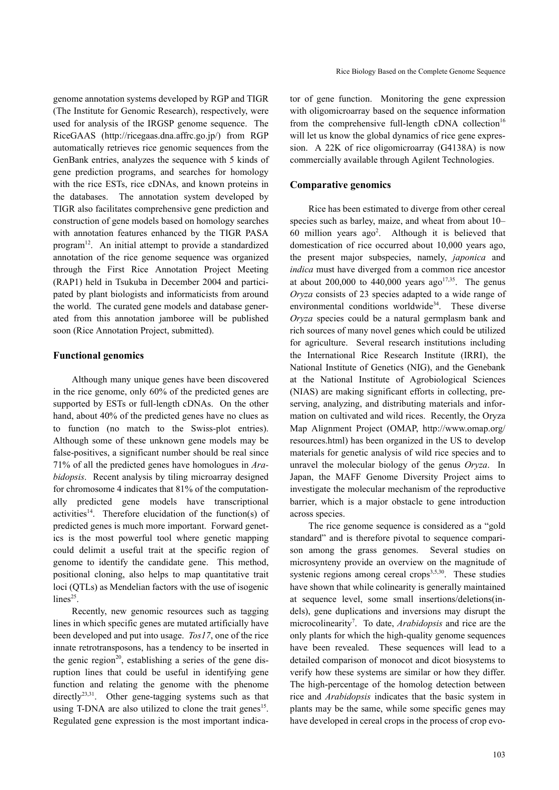genome annotation systems developed by RGP and TIGR (The Institute for Genomic Research), respectively, were used for analysis of the IRGSP genome sequence. The RiceGAAS (http://ricegaas.dna.affrc.go.jp/) from RGP automatically retrieves rice genomic sequences from the GenBank entries, analyzes the sequence with 5 kinds of gene prediction programs, and searches for homology with the rice ESTs, rice cDNAs, and known proteins in the databases. The annotation system developed by TIGR also facilitates comprehensive gene prediction and construction of gene models based on homology searches with annotation features enhanced by the TIGR PASA program12. An initial attempt to provide a standardized annotation of the rice genome sequence was organized through the First Rice Annotation Project Meeting (RAP1) held in Tsukuba in December 2004 and participated by plant biologists and informaticists from around the world. The curated gene models and database generated from this annotation jamboree will be published soon (Rice Annotation Project, submitted).

# **Functional genomics**

Although many unique genes have been discovered in the rice genome, only 60% of the predicted genes are supported by ESTs or full-length cDNAs. On the other hand, about 40% of the predicted genes have no clues as to function (no match to the Swiss-plot entries). Although some of these unknown gene models may be false-positives, a significant number should be real since 71% of all the predicted genes have homologues in *Arabidopsis*. Recent analysis by tiling microarray designed for chromosome 4 indicates that 81% of the computationally predicted gene models have transcriptional activities<sup>14</sup>. Therefore elucidation of the function(s) of predicted genes is much more important. Forward genetics is the most powerful tool where genetic mapping could delimit a useful trait at the specific region of genome to identify the candidate gene. This method, positional cloning, also helps to map quantitative trait loci (QTLs) as Mendelian factors with the use of isogenic  $lines<sup>25</sup>$ .

Recently, new genomic resources such as tagging lines in which specific genes are mutated artificially have been developed and put into usage. *Tos17*, one of the rice innate retrotransposons, has a tendency to be inserted in the genic region<sup>20</sup>, establishing a series of the gene disruption lines that could be useful in identifying gene function and relating the genome with the phenome  $directly^{23,31}$ . Other gene-tagging systems such as that using T-DNA are also utilized to clone the trait genes<sup>15</sup>. Regulated gene expression is the most important indicator of gene function. Monitoring the gene expression with oligomicroarray based on the sequence information from the comprehensive full-length cDNA collection<sup>16</sup> will let us know the global dynamics of rice gene expression. A 22K of rice oligomicroarray (G4138A) is now commercially available through Agilent Technologies.

#### **Comparative genomics**

Rice has been estimated to diverge from other cereal species such as barley, maize, and wheat from about 10– 60 million years  $ago^2$ . Although it is believed that domestication of rice occurred about 10,000 years ago, the present major subspecies, namely, *japonica* and *indica* must have diverged from a common rice ancestor at about 200,000 to 440,000 years  $ago^{17,35}$ . The genus *Oryza* consists of 23 species adapted to a wide range of environmental conditions worldwide<sup>34</sup>. These diverse *Oryza* species could be a natural germplasm bank and rich sources of many novel genes which could be utilized for agriculture. Several research institutions including the International Rice Research Institute (IRRI), the National Institute of Genetics (NIG), and the Genebank at the National Institute of Agrobiological Sciences (NIAS) are making significant efforts in collecting, preserving, analyzing, and distributing materials and information on cultivated and wild rices. Recently, the Oryza Map Alignment Project (OMAP, http://www.omap.org/ resources.html) has been organized in the US to develop materials for genetic analysis of wild rice species and to unravel the molecular biology of the genus *Oryza*. In Japan, the MAFF Genome Diversity Project aims to investigate the molecular mechanism of the reproductive barrier, which is a major obstacle to gene introduction across species.

The rice genome sequence is considered as a "gold standard" and is therefore pivotal to sequence comparison among the grass genomes. Several studies on microsynteny provide an overview on the magnitude of systenic regions among cereal crops $3,5,30$ . These studies have shown that while colinearity is generally maintained at sequence level, some small insertions/deletions(indels), gene duplications and inversions may disrupt the microcolinearity<sup>7</sup>. To date, *Arabidopsis* and rice are the only plants for which the high-quality genome sequences have been revealed. These sequences will lead to a detailed comparison of monocot and dicot biosystems to verify how these systems are similar or how they differ. The high-percentage of the homolog detection between rice and *Arabidopsis* indicates that the basic system in plants may be the same, while some specific genes may have developed in cereal crops in the process of crop evo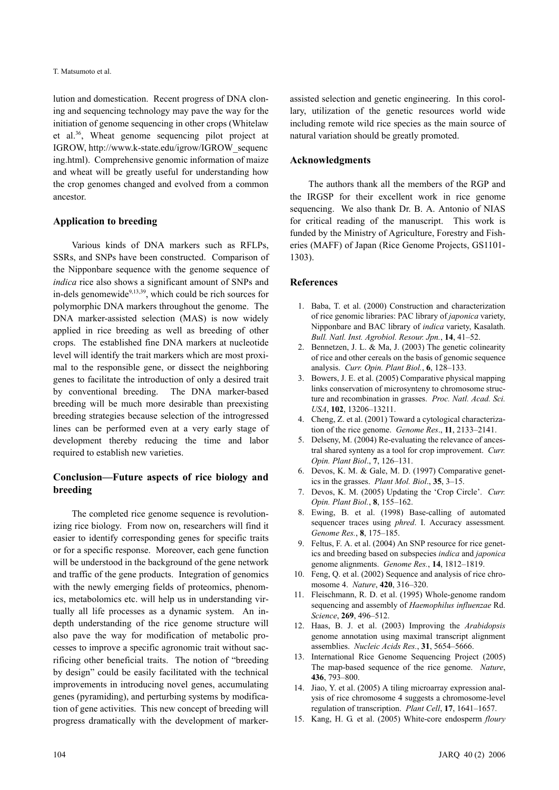lution and domestication. Recent progress of DNA cloning and sequencing technology may pave the way for the initiation of genome sequencing in other crops (Whitelaw et al.36, Wheat genome sequencing pilot project at IGROW, http://www.k-state.edu/igrow/IGROW\_sequenc ing.html). Comprehensive genomic information of maize and wheat will be greatly useful for understanding how the crop genomes changed and evolved from a common ancestor.

# **Application to breeding**

Various kinds of DNA markers such as RFLPs, SSRs, and SNPs have been constructed. Comparison of the Nipponbare sequence with the genome sequence of *indica* rice also shows a significant amount of SNPs and in-dels genomewide<sup>9,13,39</sup>, which could be rich sources for polymorphic DNA markers throughout the genome. The DNA marker-assisted selection (MAS) is now widely applied in rice breeding as well as breeding of other crops. The established fine DNA markers at nucleotide level will identify the trait markers which are most proximal to the responsible gene, or dissect the neighboring genes to facilitate the introduction of only a desired trait by conventional breeding. The DNA marker-based breeding will be much more desirable than preexisting breeding strategies because selection of the introgressed lines can be performed even at a very early stage of development thereby reducing the time and labor required to establish new varieties.

# **Conclusion—Future aspects of rice biology and breeding**

The completed rice genome sequence is revolutionizing rice biology. From now on, researchers will find it easier to identify corresponding genes for specific traits or for a specific response. Moreover, each gene function will be understood in the background of the gene network and traffic of the gene products. Integration of genomics with the newly emerging fields of proteomics, phenomics, metabolomics etc. will help us in understanding virtually all life processes as a dynamic system. An indepth understanding of the rice genome structure will also pave the way for modification of metabolic processes to improve a specific agronomic trait without sacrificing other beneficial traits. The notion of "breeding by design" could be easily facilitated with the technical improvements in introducing novel genes, accumulating genes (pyramiding), and perturbing systems by modification of gene activities. This new concept of breeding will progress dramatically with the development of markerassisted selection and genetic engineering. In this corollary, utilization of the genetic resources world wide including remote wild rice species as the main source of natural variation should be greatly promoted.

# **Acknowledgments**

The authors thank all the members of the RGP and the IRGSP for their excellent work in rice genome sequencing. We also thank Dr. B. A. Antonio of NIAS for critical reading of the manuscript. This work is funded by the Ministry of Agriculture, Forestry and Fisheries (MAFF) of Japan (Rice Genome Projects, GS1101- 1303).

## **References**

- 1. Baba, T. et al. (2000) Construction and characterization of rice genomic libraries: PAC library of *japonica* variety, Nipponbare and BAC library of *indica* variety, Kasalath. *Bull. Natl. Inst. Agrobiol. Resour. Jpn.*, **14**, 41–52.
- 2. Bennetzen, J. L. & Ma, J. (2003) The genetic colinearity of rice and other cereals on the basis of genomic sequence analysis. *Curr. Opin. Plant Biol.*, **6**, 128–133.
- 3. Bowers, J. E. et al. (2005) Comparative physical mapping links conservation of microsynteny to chromosome structure and recombination in grasses. *Proc. Natl. Acad. Sci. USA*, **102**, 13206–13211.
- 4. Cheng, Z. et al. (2001) Toward a cytological characterization of the rice genome. *Genome Res*., **11**, 2133–2141.
- 5. Delseny, M. (2004) Re-evaluating the relevance of ancestral shared synteny as a tool for crop improvement. *Curr. Opin. Plant Biol*., **7**, 126–131.
- 6. Devos, K. M. & Gale, M. D. (1997) Comparative genetics in the grasses. *Plant Mol. Biol*., **35**, 3–15.
- 7. Devos, K. M. (2005) Updating the 'Crop Circle'. *Curr. Opin. Plant Biol.*, **8**, 155–162.
- 8. Ewing, B. et al. (1998) Base-calling of automated sequencer traces using *phred*. I. Accuracy assessment*. Genome Res.*, **8**, 175–185.
- 9. Feltus, F. A. et al. (2004) An SNP resource for rice genetics and breeding based on subspecies *indica* and *japonica* genome alignments. *Genome Res.*, **14**, 1812–1819.
- 10. Feng, Q. et al. (2002) Sequence and analysis of rice chromosome 4. *Nature*, **420**, 316–320.
- 11. Fleischmann, R. D. et al. (1995) Whole-genome random sequencing and assembly of *Haemophilus influenzae* Rd. *Science*, **269**, 496–512.
- 12. Haas, B. J. et al. (2003) Improving the *Arabidopsis* genome annotation using maximal transcript alignment assemblies. *Nucleic Acids Res.*, **31**, 5654–5666.
- 13. International Rice Genome Sequencing Project (2005) The map-based sequence of the rice genome. *Nature*, **436**, 793–800.
- 14. Jiao, Y. et al. (2005) A tiling microarray expression analysis of rice chromosome 4 suggests a chromosome-level regulation of transcription. *Plant Cell*, **17**, 1641–1657.
- 15. Kang, H. G. et al. (2005) White-core endosperm *floury*